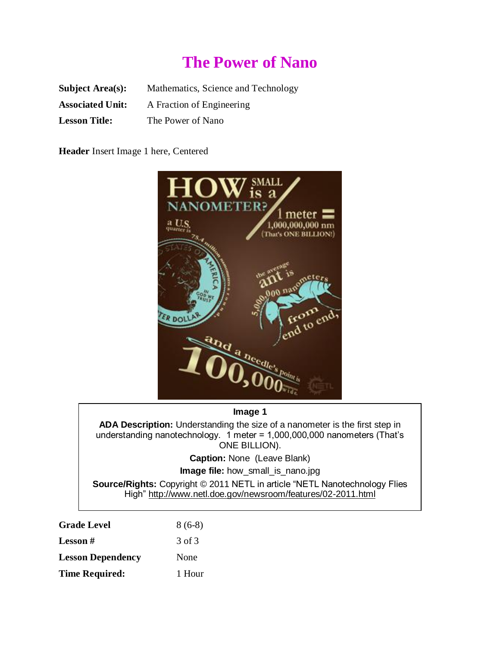# **The Power of Nano**

| <b>Subject Area(s):</b> | Mathematics, Science and Technology |
|-------------------------|-------------------------------------|
| <b>Associated Unit:</b> | A Fraction of Engineering           |
| <b>Lesson Title:</b>    | The Power of Nano                   |

**Header** Insert Image 1 here, Centered



#### **Image 1**

**ADA Description:** Understanding the size of a nanometer is the first step in understanding nanotechnology. 1 meter = 1,000,000,000 nanometers (That's ONE BILLION).

**Caption:** None (Leave Blank)

**Image file:** how\_small\_is\_nano.jpg

**Source/Rights:** Copyright © 2011 NETL in article "NETL Nanotechnology Flies High"<http://www.netl.doe.gov/newsroom/features/02-2011.html>

| <b>Grade Level</b>       | $8(6-8)$ |
|--------------------------|----------|
| <b>Lesson</b> #          | 3 of 3   |
| <b>Lesson Dependency</b> | None     |
| <b>Time Required:</b>    | 1 Hour   |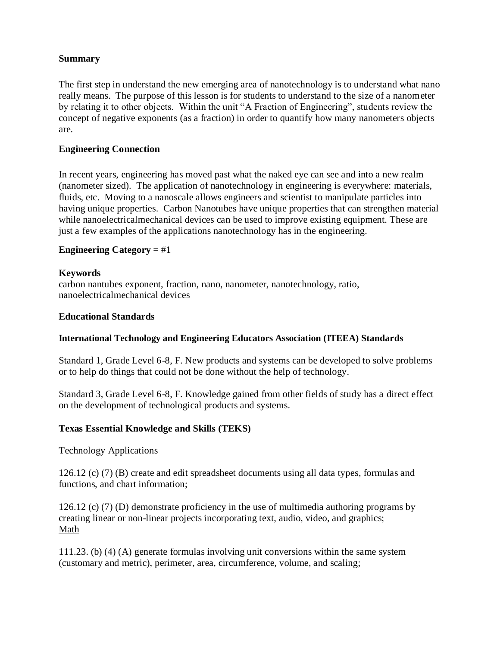# **Summary**

The first step in understand the new emerging area of nanotechnology is to understand what nano really means. The purpose of this lesson is for students to understand to the size of a nanometer by relating it to other objects. Within the unit "A Fraction of Engineering", students review the concept of negative exponents (as a fraction) in order to quantify how many nanometers objects are.

### **Engineering Connection**

In recent years, engineering has moved past what the naked eye can see and into a new realm (nanometer sized). The application of nanotechnology in engineering is everywhere: materials, fluids, etc. Moving to a nanoscale allows engineers and scientist to manipulate particles into having unique properties. Carbon Nanotubes have unique properties that can strengthen material while nanoelectricalmechanical devices can be used to improve existing equipment. These are just a few examples of the applications nanotechnology has in the engineering.

## **Engineering Category** = #1

## **Keywords**

carbon nantubes exponent, fraction, nano, nanometer, nanotechnology, ratio, nanoelectricalmechanical devices

#### **Educational Standards**

#### **International Technology and Engineering Educators Association (ITEEA) Standards**

Standard 1, Grade Level 6-8, F. New products and systems can be developed to solve problems or to help do things that could not be done without the help of technology.

Standard 3, Grade Level 6-8, F. Knowledge gained from other fields of study has a direct effect on the development of technological products and systems.

#### **Texas Essential Knowledge and Skills (TEKS)**

#### Technology Applications

126.12 (c) (7) (B) create and edit spreadsheet documents using all data types, formulas and functions, and chart information;

126.12 (c) (7) (D) demonstrate proficiency in the use of multimedia authoring programs by creating linear or non-linear projects incorporating text, audio, video, and graphics; Math

111.23. (b) (4) (A) generate formulas involving unit conversions within the same system (customary and metric), perimeter, area, circumference, volume, and scaling;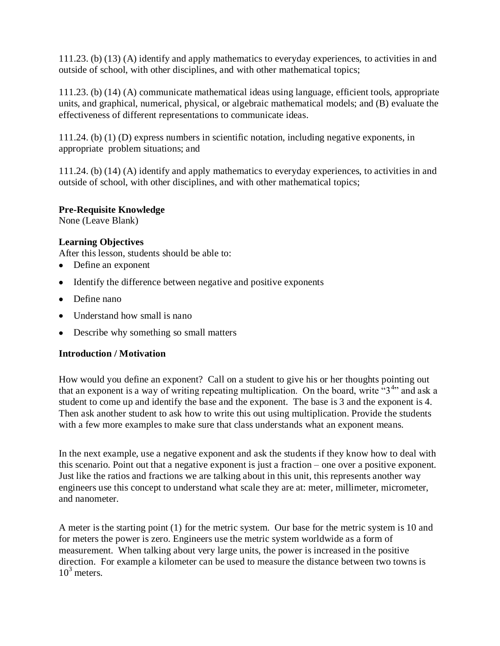111.23. (b) (13) (A) identify and apply mathematics to everyday experiences, to activities in and outside of school, with other disciplines, and with other mathematical topics;

111.23. (b) (14) (A) communicate mathematical ideas using language, efficient tools, appropriate units, and graphical, numerical, physical, or algebraic mathematical models; and (B) evaluate the effectiveness of different representations to communicate ideas.

111.24. (b) (1) (D) express numbers in scientific notation, including negative exponents, in appropriate problem situations; and

111.24. (b) (14) (A) identify and apply mathematics to everyday experiences, to activities in and outside of school, with other disciplines, and with other mathematical topics;

## **Pre-Requisite Knowledge**

None (Leave Blank)

## **Learning Objectives**

After this lesson, students should be able to:

- Define an exponent
- Identify the difference between negative and positive exponents
- Define nano
- Understand how small is nano
- Describe why something so small matters

# **Introduction / Motivation**

How would you define an exponent? Call on a student to give his or her thoughts pointing out that an exponent is a way of writing repeating multiplication. On the board, write  $\cdot \cdot 3^{4}$  and ask a student to come up and identify the base and the exponent. The base is 3 and the exponent is 4. Then ask another student to ask how to write this out using multiplication. Provide the students with a few more examples to make sure that class understands what an exponent means.

In the next example, use a negative exponent and ask the students if they know how to deal with this scenario. Point out that a negative exponent is just a fraction – one over a positive exponent. Just like the ratios and fractions we are talking about in this unit, this represents another way engineers use this concept to understand what scale they are at: meter, millimeter, micrometer, and nanometer.

A meter is the starting point (1) for the metric system. Our base for the metric system is 10 and for meters the power is zero. Engineers use the metric system worldwide as a form of measurement. When talking about very large units, the power is increased in the positive direction. For example a kilometer can be used to measure the distance between two towns is  $10^3$  meters.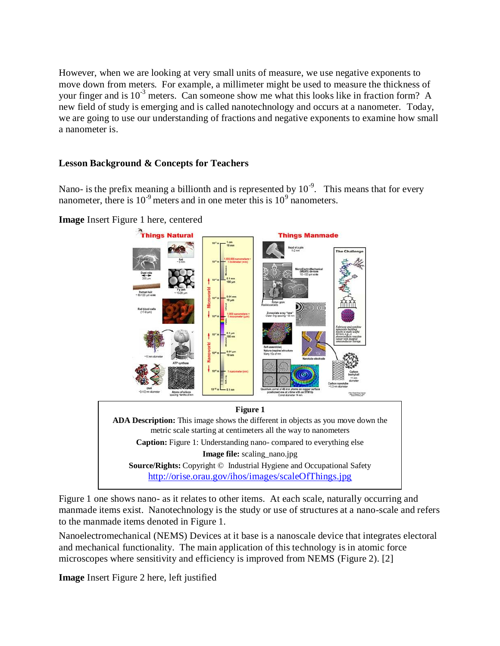However, when we are looking at very small units of measure, we use negative exponents to move down from meters. For example, a millimeter might be used to measure the thickness of your finger and is  $10^{-3}$  meters. Can someone show me what this looks like in fraction form? A new field of study is emerging and is called nanotechnology and occurs at a nanometer. Today, we are going to use our understanding of fractions and negative exponents to examine how small a nanometer is.

### **Lesson Background & Concepts for Teachers**

Nano- is the prefix meaning a billionth and is represented by  $10^{-9}$ . This means that for every nanometer, there is  $10^{-9}$  meters and in one meter this is  $10^9$  nanometers.



**Image** Insert Figure 1 here, centered

Figure 1 one shows nano- as it relates to other items. At each scale, naturally occurring and manmade items exist. Nanotechnology is the study or use of structures at a nano-scale and refers to the manmade items denoted in Figure 1.

Nanoelectromechanical (NEMS) Devices at it base is a nanoscale device that integrates electoral and mechanical functionality. The main application of this technology is in atomic force microscopes where sensitivity and efficiency is improved from NEMS (Figure 2). [2]

**Image** Insert Figure 2 here, left justified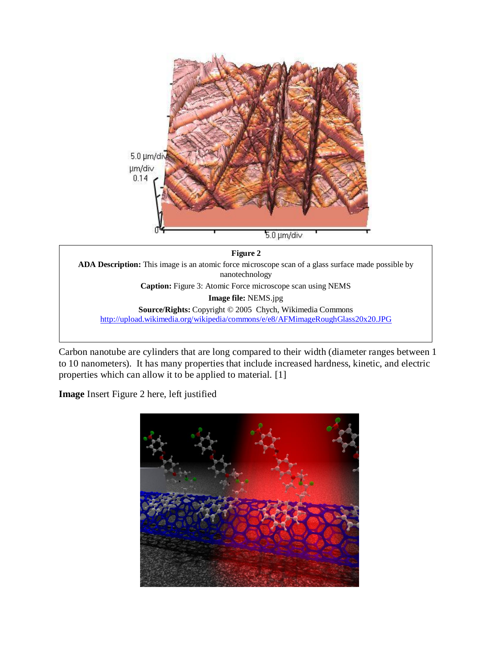

**Figure 2 ADA Description:** This image is an atomic force microscope scan of a glass surface made possible by nanotechnology **Caption:** Figure 3: Atomic Force microscope scan using NEMS **Image file:** NEMS.jpg **Source/Rights:** Copyright © 2005 Chych, Wikimedia Commons <http://upload.wikimedia.org/wikipedia/commons/e/e8/AFMimageRoughGlass20x20.JPG>

Carbon nanotube are cylinders that are long compared to their width (diameter ranges between 1 to 10 nanometers). It has many properties that include increased hardness, kinetic, and electric properties which can allow it to be applied to material. [1]

**Image** Insert Figure 2 here, left justified

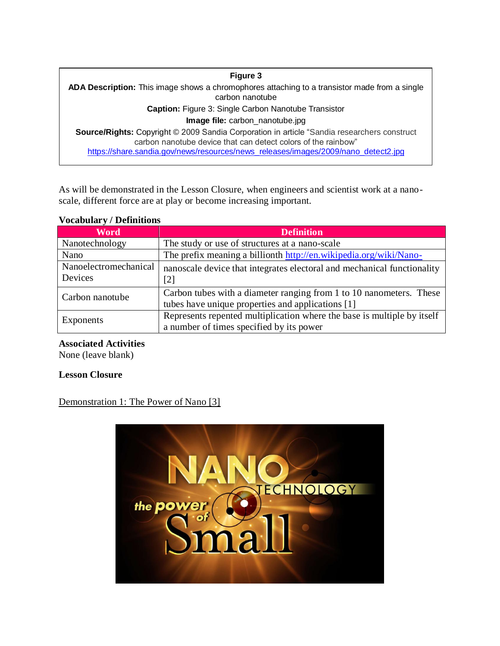**Figure 3 ADA Description:** This image shows a chromophores attaching to a transistor made from a single carbon nanotube **Caption:** Figure 3: Single Carbon Nanotube Transistor **Image file:** carbon\_nanotube.jpg **Source/Rights:** Copyright © 2009 Sandia Corporation in article "Sandia researchers construct carbon nanotube device that can detect colors of the rainbow" [https://share.sandia.gov/news/resources/news\\_releases/images/2009/nano\\_detect2.jpg](https://share.sandia.gov/news/resources/news_releases/images/2009/nano_detect2.jpg)

As will be demonstrated in the Lesson Closure, when engineers and scientist work at a nanoscale, different force are at play or become increasing important.

#### **Vocabulary / Definitions**

| <b>Word</b>                      | <b>Definition</b>                                                       |
|----------------------------------|-------------------------------------------------------------------------|
| Nanotechnology                   | The study or use of structures at a nano-scale                          |
| Nano                             | The prefix meaning a billionth http://en.wikipedia.org/wiki/Nano-       |
| Nanoelectromechanical<br>Devices | nanoscale device that integrates electoral and mechanical functionality |
|                                  | [2]                                                                     |
| Carbon nanotube                  | Carbon tubes with a diameter ranging from 1 to 10 nanometers. These     |
|                                  | tubes have unique properties and applications [1]                       |
| Exponents                        | Represents repented multiplication where the base is multiple by itself |
|                                  | a number of times specified by its power                                |

#### **Associated Activities**

None (leave blank)

#### **Lesson Closure**

# Demonstration 1: The Power of Nano [3]

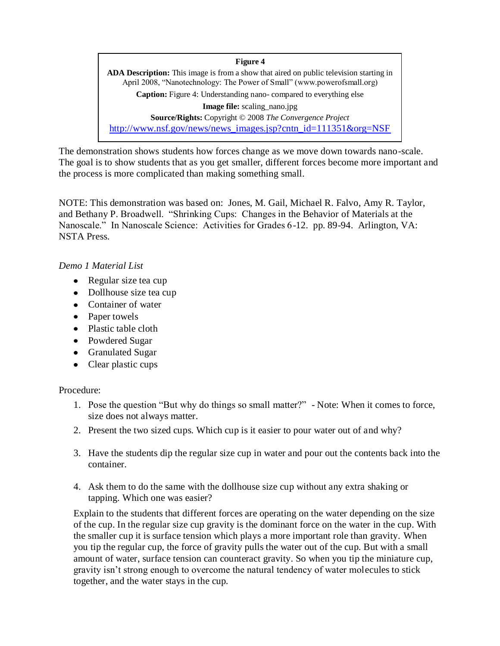**Figure 4 ADA Description:** This image is from a show that aired on public television starting in April 2008, "Nanotechnology: The Power of Small" (www.powerofsmall.org) **Caption:** Figure 4: Understanding nano- compared to everything else **Image file:** scaling\_nano.jpg **Source/Rights:** Copyright © 2008 *The Convergence Project*  [http://www.nsf.gov/news/news\\_images.jsp?cntn\\_id=111351&org=NSF](http://www.nsf.gov/news/news_images.jsp?cntn_id=111351&org=NSF)

The demonstration shows students how forces change as we move down towards nano-scale. The goal is to show students that as you get smaller, different forces become more important and the process is more complicated than making something small.

NOTE: This demonstration was based on: Jones, M. Gail, Michael R. Falvo, Amy R. Taylor, and Bethany P. Broadwell. "Shrinking Cups: Changes in the Behavior of Materials at the Nanoscale." In Nanoscale Science: Activities for Grades 6-12. pp. 89-94. Arlington, VA: NSTA Press.

## *Demo 1 Material List*

- Regular size tea cup
- Dollhouse size tea cup
- Container of water
- Paper towels
- Plastic table cloth
- Powdered Sugar
- Granulated Sugar
- Clear plastic cups

# Procedure:

- 1. Pose the question "But why do things so small matter?" Note: When it comes to force, size does not always matter.
- 2. Present the two sized cups. Which cup is it easier to pour water out of and why?
- 3. Have the students dip the regular size cup in water and pour out the contents back into the container.
- 4. Ask them to do the same with the dollhouse size cup without any extra shaking or tapping. Which one was easier?

Explain to the students that different forces are operating on the water depending on the size of the cup. In the regular size cup gravity is the dominant force on the water in the cup. With the smaller cup it is surface tension which plays a more important role than gravity. When you tip the regular cup, the force of gravity pulls the water out of the cup. But with a small amount of water, surface tension can counteract gravity. So when you tip the miniature cup, gravity isn't strong enough to overcome the natural tendency of water molecules to stick together, and the water stays in the cup.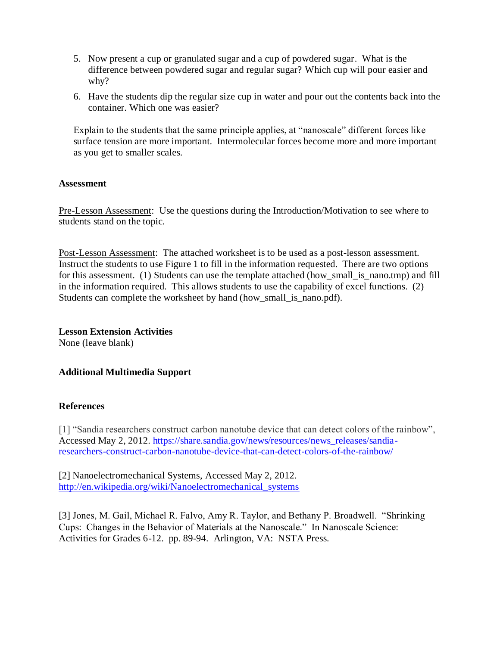- 5. Now present a cup or granulated sugar and a cup of powdered sugar. What is the difference between powdered sugar and regular sugar? Which cup will pour easier and why?
- 6. Have the students dip the regular size cup in water and pour out the contents back into the container. Which one was easier?

Explain to the students that the same principle applies, at "nanoscale" different forces like surface tension are more important. Intermolecular forces become more and more important as you get to smaller scales.

## **Assessment**

Pre-Lesson Assessment: Use the questions during the Introduction/Motivation to see where to students stand on the topic.

Post-Lesson Assessment: The attached worksheet is to be used as a post-lesson assessment. Instruct the students to use Figure 1 to fill in the information requested. There are two options for this assessment. (1) Students can use the template attached (how small is nano.tmp) and fill in the information required. This allows students to use the capability of excel functions. (2) Students can complete the worksheet by hand (how\_small\_is\_nano.pdf).

# **Lesson Extension Activities**

None (leave blank)

# **Additional Multimedia Support**

#### **References**

[1] "Sandia researchers construct carbon nanotube device that can detect colors of the rainbow", Accessed May 2, 2012. [https://share.sandia.gov/news/resources/news\\_releases/sandia](https://share.sandia.gov/news/resources/news_releases/sandia-researchers-construct-carbon-nanotube-device-that-can-detect-colors-of-the-rainbow/)[researchers-construct-carbon-nanotube-device-that-can-detect-colors-of-the-rainbow/](https://share.sandia.gov/news/resources/news_releases/sandia-researchers-construct-carbon-nanotube-device-that-can-detect-colors-of-the-rainbow/)

[2] Nanoelectromechanical Systems, Accessed May 2, 2012. [http://en.wikipedia.org/wiki/Nanoelectromechanical\\_systems](http://en.wikipedia.org/wiki/Nanoelectromechanical_systems)

[3] Jones, M. Gail, Michael R. Falvo, Amy R. Taylor, and Bethany P. Broadwell. "Shrinking Cups: Changes in the Behavior of Materials at the Nanoscale." In Nanoscale Science: Activities for Grades 6-12. pp. 89-94. Arlington, VA: NSTA Press.